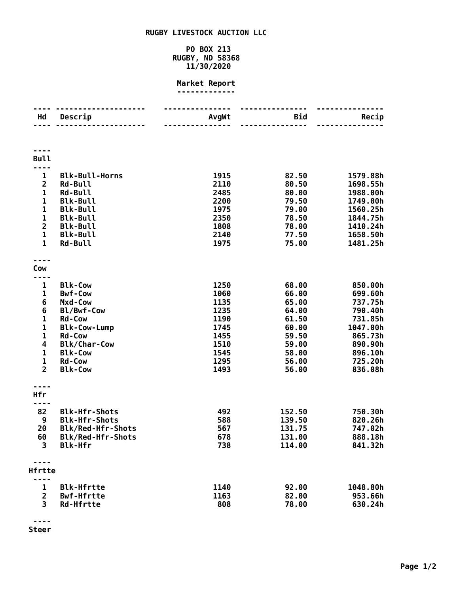## **RUGBY LIVESTOCK AUCTION LLC**

## **PO BOX 213 RUGBY, ND 58368 11/30/2020**

## **Market Report -------------**

| Hd                             | Descrip                            | AvgWt        | Bid            | Recip                |
|--------------------------------|------------------------------------|--------------|----------------|----------------------|
|                                |                                    |              |                |                      |
|                                |                                    |              |                |                      |
|                                |                                    |              |                |                      |
| <b>Bull</b>                    |                                    |              |                |                      |
| 1                              | <b>Blk-Bull-Horns</b>              | 1915         | 82.50          | 1579.88h             |
| $\overline{2}$                 | <b>Rd-Bull</b>                     | 2110         | 80.50          | 1698.55h             |
| 1                              | <b>Rd-Bull</b>                     | 2485         | 80.00          | 1988.00h             |
| $\mathbf 1$                    | <b>Blk-Bull</b>                    | 2200         | 79.50          | 1749.00h             |
| $\mathbf 1$                    | <b>Blk-Bull</b>                    | 1975         | 79.00          | 1560.25h             |
| $\mathbf{1}$<br>$\overline{2}$ | <b>Blk-Bull</b><br><b>Blk-Bull</b> | 2350<br>1808 | 78.50<br>78.00 | 1844.75h<br>1410.24h |
| $\mathbf{1}$                   | <b>Blk-Bull</b>                    | 2140         | 77.50          | 1658.50h             |
| $\mathbf{1}$                   | <b>Rd-Bull</b>                     | 1975         | 75.00          | 1481.25h             |
|                                |                                    |              |                |                      |
|                                |                                    |              |                |                      |
| Cow<br>----                    |                                    |              |                |                      |
| 1                              | <b>Blk-Cow</b>                     | 1250         | 68.00          | 850.00h              |
| 1                              | <b>Bwf-Cow</b>                     | 1060         | 66.00          | 699.60h              |
| 6                              | Mxd-Cow                            | 1135         | 65.00          | 737.75h              |
| 6                              | Bl/Bwf-Cow                         | 1235         | 64.00          | 790.40h              |
| 1                              | <b>Rd-Cow</b>                      | 1190         | 61.50          | 731.85h              |
| $\mathbf 1$                    | <b>Blk-Cow-Lump</b>                | 1745         | 60.00          | 1047.00h             |
| $\mathbf 1$                    | <b>Rd-Cow</b>                      | 1455         | 59.50          | 865.73h              |
| 4                              | <b>Blk/Char-Cow</b>                | 1510         | 59.00          | 890.90h              |
| $\mathbf 1$                    | <b>Blk-Cow</b>                     | 1545         | 58.00          | 896.10h              |
| $\mathbf 1$                    | <b>Rd-Cow</b>                      | 1295         | 56.00          | 725.20h              |
| $\overline{2}$                 | <b>Blk-Cow</b>                     | 1493         | 56.00          | 836.08h              |
|                                |                                    |              |                |                      |
| Hfr                            |                                    |              |                |                      |
| ----<br>82                     | <b>Blk-Hfr-Shots</b>               | 492          | 152.50         | 750.30h              |
| 9                              | <b>Blk-Hfr-Shots</b>               | 588          | 139.50         | 820.26h              |
| 20                             | Blk/Red-Hfr-Shots                  | 567          | 131.75         | 747.02h              |
| 60                             | Blk/Red-Hfr-Shots                  | 678          | 131.00         | 888.18h              |
| 3                              | <b>Blk-Hfr</b>                     | 738          | 114.00         | 841.32h              |
|                                |                                    |              |                |                      |
|                                |                                    |              |                |                      |
| Hfrtte                         |                                    |              |                |                      |
| 1                              | <b>Blk-Hfrtte</b>                  | 1140         | 92.00          | 1048.80h             |
| $\overline{2}$                 | <b>Bwf-Hfrtte</b>                  | 1163         | 82.00          | 953.66h              |
| 3                              | <b>Rd-Hfrtte</b>                   | 808          | 78.00          | 630.24h              |
|                                |                                    |              |                |                      |

**---- Steer**